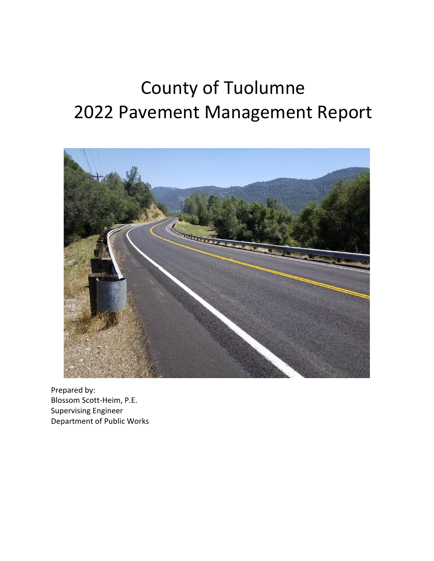# County of Tuolumne 2022 Pavement Management Report



Prepared by: Blossom Scott-Heim, P.E. Supervising Engineer Department of Public Works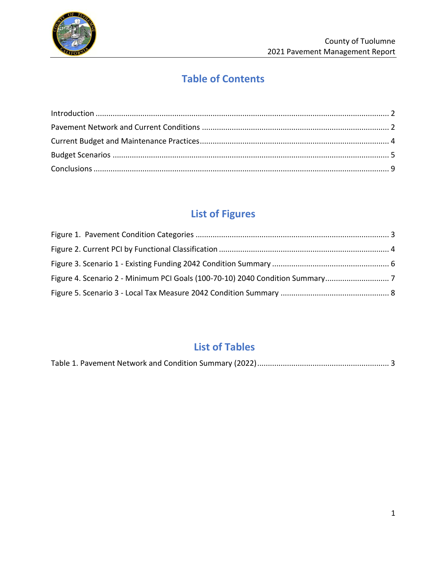

# **Table of Contents**

# **List of Figures**

# **List of Tables**

|--|--|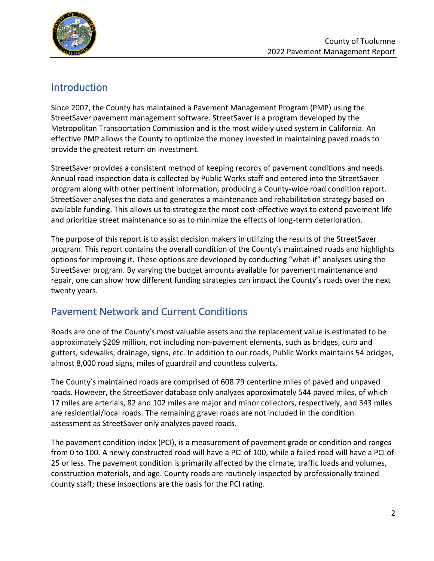

#### <span id="page-2-0"></span>Introduction

Since 2007, the County has maintained a Pavement Management Program (PMP) using the StreetSaver pavement management software. StreetSaver is a program developed by the Metropolitan Transportation Commission and is the most widely used system in California. An effective PMP allows the County to optimize the money invested in maintaining paved roads to provide the greatest return on investment.

StreetSaver provides a consistent method of keeping records of pavement conditions and needs. Annual road inspection data is collected by Public Works staff and entered into the StreetSaver program along with other pertinent information, producing a County-wide road condition report. StreetSaver analyses the data and generates a maintenance and rehabilitation strategy based on available funding. This allows us to strategize the most cost-effective ways to extend pavement life and prioritize street maintenance so as to minimize the effects of long-term deterioration.

The purpose of this report is to assist decision makers in utilizing the results of the StreetSaver program. This report contains the overall condition of the County's maintained roads and highlights options for improving it. These options are developed by conducting "what-if" analyses using the StreetSaver program. By varying the budget amounts available for pavement maintenance and repair, one can show how different funding strategies can impact the County's roads over the next twenty years.

## <span id="page-2-1"></span>Pavement Network and Current Conditions

Roads are one of the County's most valuable assets and the replacement value is estimated to be approximately \$209 million, not including non-pavement elements, such as bridges, curb and gutters, sidewalks, drainage, signs, etc. In addition to our roads, Public Works maintains 54 bridges, almost 8,000 road signs, miles of guardrail and countless culverts.

The County's maintained roads are comprised of 608.79 centerline miles of paved and unpaved roads. However, the StreetSaver database only analyzes approximately 544 paved miles, of which 17 miles are arterials, 82 and 102 miles are major and minor collectors, respectively, and 343 miles are residential/local roads. The remaining gravel roads are not included in the condition assessment as StreetSaver only analyzes paved roads.

The pavement condition index (PCI), is a measurement of pavement grade or condition and ranges from 0 to 100. A newly constructed road will have a PCI of 100, while a failed road will have a PCI of 25 or less. The pavement condition is primarily affected by the climate, traffic loads and volumes, construction materials, and age. County roads are routinely inspected by professionally trained county staff; these inspections are the basis for the PCI rating.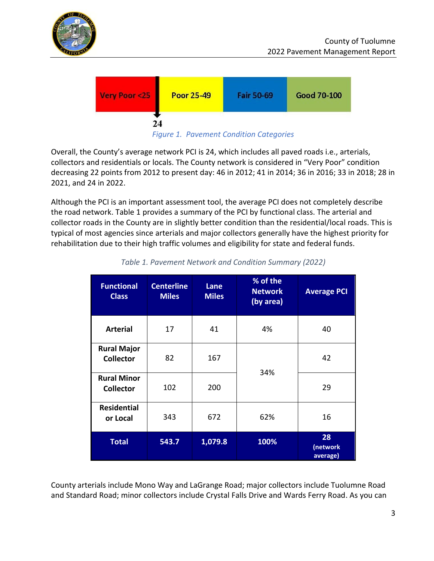



*Figure 1. Pavement Condition Categories*

<span id="page-3-0"></span>Overall, the County's average network PCI is 24, which includes all paved roads i.e., arterials, collectors and residentials or locals. The County network is considered in "Very Poor" condition decreasing 22 points from 2012 to present day: 46 in 2012; 41 in 2014; 36 in 2016; 33 in 2018; 28 in 2021, and 24 in 2022.

Although the PCI is an important assessment tool, the average PCI does not completely describe the road network. Table 1 provides a summary of the PCI by functional class. The arterial and collector roads in the County are in slightly better condition than the residential/local roads. This is typical of most agencies since arterials and major collectors generally have the highest priority for rehabilitation due to their high traffic volumes and eligibility for state and federal funds.

<span id="page-3-1"></span>

| <b>Functional</b><br><b>Class</b>      | <b>Centerline</b><br><b>Miles</b> | Lane<br><b>Miles</b> | % of the<br><b>Network</b><br>(by area) | <b>Average PCI</b>         |
|----------------------------------------|-----------------------------------|----------------------|-----------------------------------------|----------------------------|
| <b>Arterial</b>                        | 17                                | 41                   | 4%                                      | 40                         |
| <b>Rural Major</b><br><b>Collector</b> | 82                                | 167                  | 34%                                     | 42                         |
| <b>Rural Minor</b><br><b>Collector</b> | 102                               | 200                  |                                         | 29                         |
| <b>Residential</b><br>or Local         | 343                               | 672                  | 62%                                     | 16                         |
| <b>Total</b>                           | 543.7                             | 1,079.8              | 100%                                    | 28<br>(network<br>average) |

*Table 1. Pavement Network and Condition Summary (2022)*

County arterials include Mono Way and LaGrange Road; major collectors include Tuolumne Road and Standard Road; minor collectors include Crystal Falls Drive and Wards Ferry Road. As you can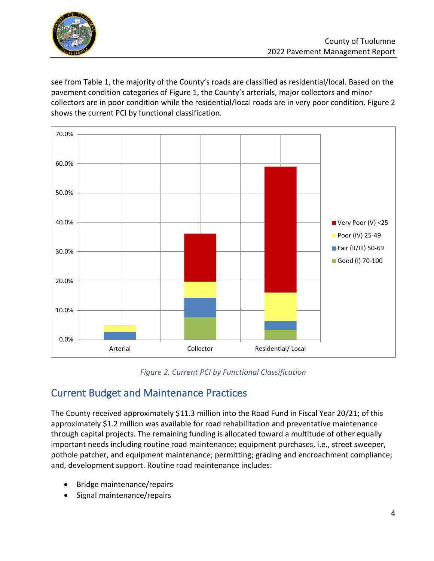

see from Table 1, the majority of the County's roads are classified as residential/local. Based on the pavement condition categories of Figure 1, the County's arterials, major collectors and minor collectors are in poor condition while the residential/local roads are in very poor condition. Figure 2 shows the current PCI by functional classification.



*Figure 2. Current PCI by Functional Classification*

## <span id="page-4-1"></span><span id="page-4-0"></span>Current Budget and Maintenance Practices

The County received approximately \$11.3 million into the Road Fund in Fiscal Year 20/21; of this approximately \$1.2 million was available for road rehabilitation and preventative maintenance through capital projects. The remaining funding is allocated toward a multitude of other equally important needs including routine road maintenance; equipment purchases, i.e., street sweeper, pothole patcher, and equipment maintenance; permitting; grading and encroachment compliance; and, development support. Routine road maintenance includes:

- Bridge maintenance/repairs
- Signal maintenance/repairs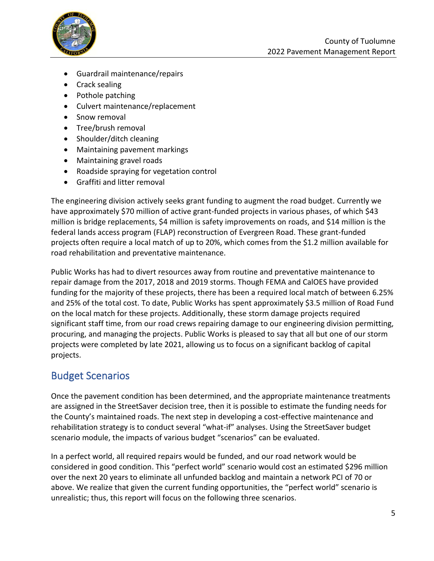

- Guardrail maintenance/repairs
- Crack sealing
- Pothole patching
- Culvert maintenance/replacement
- Snow removal
- Tree/brush removal
- Shoulder/ditch cleaning
- Maintaining pavement markings
- Maintaining gravel roads
- Roadside spraying for vegetation control
- Graffiti and litter removal

The engineering division actively seeks grant funding to augment the road budget. Currently we have approximately \$70 million of active grant-funded projects in various phases, of which \$43 million is bridge replacements, \$4 million is safety improvements on roads, and \$14 million is the federal lands access program (FLAP) reconstruction of Evergreen Road. These grant-funded projects often require a local match of up to 20%, which comes from the \$1.2 million available for road rehabilitation and preventative maintenance.

Public Works has had to divert resources away from routine and preventative maintenance to repair damage from the 2017, 2018 and 2019 storms. Though FEMA and CalOES have provided funding for the majority of these projects, there has been a required local match of between 6.25% and 25% of the total cost. To date, Public Works has spent approximately \$3.5 million of Road Fund on the local match for these projects. Additionally, these storm damage projects required significant staff time, from our road crews repairing damage to our engineering division permitting, procuring, and managing the projects. Public Works is pleased to say that all but one of our storm projects were completed by late 2021, allowing us to focus on a significant backlog of capital projects.

#### <span id="page-5-0"></span>Budget Scenarios

Once the pavement condition has been determined, and the appropriate maintenance treatments are assigned in the StreetSaver decision tree, then it is possible to estimate the funding needs for the County's maintained roads. The next step in developing a cost-effective maintenance and rehabilitation strategy is to conduct several "what-if" analyses. Using the StreetSaver budget scenario module, the impacts of various budget "scenarios" can be evaluated.

In a perfect world, all required repairs would be funded, and our road network would be considered in good condition. This "perfect world" scenario would cost an estimated \$296 million over the next 20 years to eliminate all unfunded backlog and maintain a network PCI of 70 or above. We realize that given the current funding opportunities, the "perfect world" scenario is unrealistic; thus, this report will focus on the following three scenarios.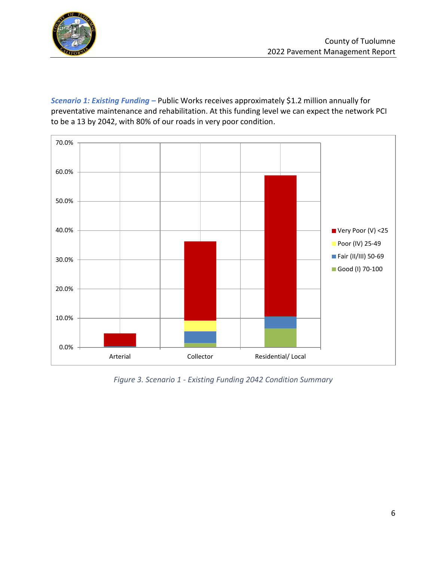

*Scenario 1: Existing Funding –* Public Works receives approximately \$1.2 million annually for preventative maintenance and rehabilitation. At this funding level we can expect the network PCI to be a 13 by 2042, with 80% of our roads in very poor condition.



<span id="page-6-0"></span>*Figure 3. Scenario 1 - Existing Funding 2042 Condition Summary*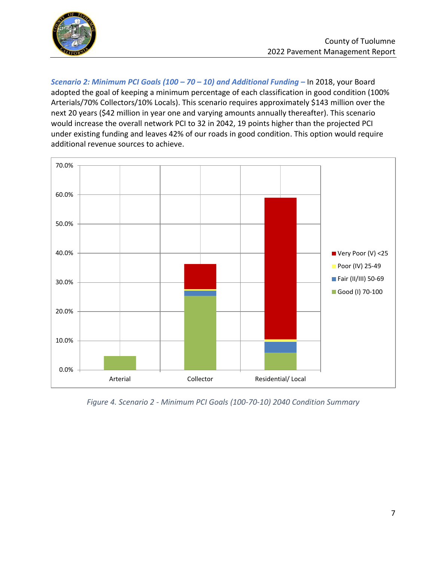

*Scenario 2: Minimum PCI Goals (100 – 70 – 10) and Additional Funding –* In 2018, your Board adopted the goal of keeping a minimum percentage of each classification in good condition (100% Arterials/70% Collectors/10% Locals). This scenario requires approximately \$143 million over the next 20 years (\$42 million in year one and varying amounts annually thereafter). This scenario would increase the overall network PCI to 32 in 2042, 19 points higher than the projected PCI under existing funding and leaves 42% of our roads in good condition. This option would require additional revenue sources to achieve.



<span id="page-7-0"></span>*Figure 4. Scenario 2 - Minimum PCI Goals (100-70-10) 2040 Condition Summary*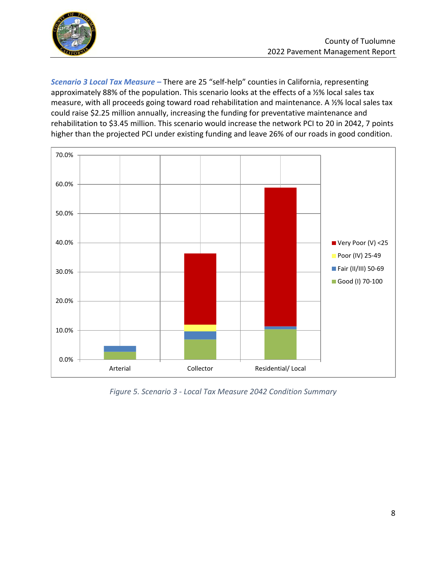

*Scenario 3 Local Tax Measure –* There are 25 "self-help" counties in California, representing approximately 88% of the population. This scenario looks at the effects of a ½% local sales tax measure, with all proceeds going toward road rehabilitation and maintenance. A ½% local sales tax could raise \$2.25 million annually, increasing the funding for preventative maintenance and rehabilitation to \$3.45 million. This scenario would increase the network PCI to 20 in 2042, 7 points higher than the projected PCI under existing funding and leave 26% of our roads in good condition.



<span id="page-8-0"></span>*Figure 5. Scenario 3 - Local Tax Measure 2042 Condition Summary*